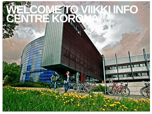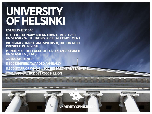## UNIVERSITY OF HELSINKI

**ESTABLISHED 1640** 

MULTIDISCIPLINARY INTERNATIONAL RESEARCH<br>UNIVERSITY WITH STRONG SOCIETAL COMMITMENT

BILINGUAL (FINNISH AND SWEDISH), TUITION ALSO<br>PROVIDED IN ENGLISH

MEMBER OF THE LEAGUE OF EUROPEAN RESEARCH<br>UNIVERSITIES (LERU)

36,500 STUDENTS

5,800 DEGREES AWARDED ANNUALLY

8,500 STAFF, OF WHOM 4,800 RESEARCHERS/TEACH

FAL ANNUAL BUDGET €650 MILLION

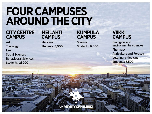## **FOUR CAMPUSES AROUND THE CITY**

#### **CITY CENTRE CAMPUS**

Arts **Theology** Law **Social Sciences Behavioural Sciences Students: 21,000** 

#### **MEILAHTI CAMPUS**

**Medicine Students: 3,000** 

#### **KUMPULA CAMPUS**

**Science Students: 6,000** 

#### **VIIKKI CAMPUS**

**Biological and** environmental sciences Pharmacy **Agriculture and Forestry Veterinary Medicine Students: 6,500** 

UNIVERSITY OF HELSINKI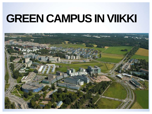## **GREEN CAMPUS IN VIIKKI**

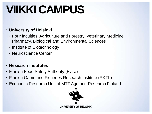# **VIIKKI CAMPUS**

### • **University of Helsinki**

- Four faculties: Agriculture and Forestry, Veterinary Medicine, Pharmacy, Biological and Environmental Sciences
- Institute of Biotechnology
- Neuroscience Center
- **Research institutes**
- Finnish Food Safety Authority (Evira)
- Finnish Game and Fisheries Research Institute (RKTL)
- Economic Research Unit of MTT Agrifood Research Finland

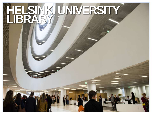## **SINKI UNIVERSITY LIBRARY**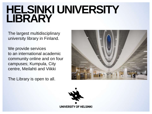### **HELSINKI UNIVERSITY LIBRARY**

The largest multidisciplinary university library in Finland.

We provide services to an international academic community online and on four campuses; Kumpula, City centre, Meilahti and Viikki

The Library is open to all.



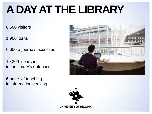## **A DAY AT THE LIBRARY**

8,500 visitors

1,900 loans

6,600 e-journals accessed

19,300 searches in the library's database

6 hours of teaching in information seeking



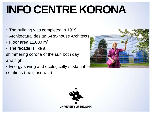# **INFO CENTRE KORONA**

- The building was completed in 1999
- Architectural design: ARK-house Architects
- Floor area 11,000 m<sup>2</sup>
- The facade is like a

shimmering corona of the sun both day and night.

• Energy saving and ecologically sustainable solutions (the glass wall)



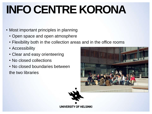# **INFO CENTRE KORONA**

- Most important principles in planning
	- Open space and open atmosphere
	- Flexibility both in the collection areas and in the office rooms
	- Accessibility
	- Clear and easy orienteering
	- No closed collections
	- No closed boundaries between

the two libraries



UNIVERSITY OF HELSINKI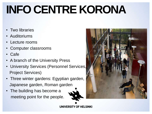# **INFO CENTRE KORONA**

- Two libraries
- **Auditoriums**
- Lecture rooms
- Computer classrooms
- Cafe
- A branch of the University Press
- University Services (Personnel Services, Project Services)
- Three winter gardens: Egyptian garden, Japanese garden, Roman garden
- The building has become a meeting point for the people.



UNIVERSITY OF HELSINKI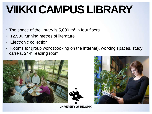## **VIIKKI CAMPUS LIBRARY**

- The space of the library is 5,000 m**<sup>2</sup>** in four floors
- 12,500 running metres of literature
- Electronic collection
- Rooms for group work (booking on the internet), working spaces, study carrels, 24-h reading room





**UNIVERSITY OF HELSINKI**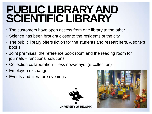### **PUBLIC LIBRARYAND SCIENTIFIC LIBRARY**

- The customers have open access from one library to the other.
- Science has been brought closer to the residents of the city.
- The public library offers fiction for the students and researchers. Also text books!
- Joint premises: the reference book room and the reading room for journals – functional solutions
- Collection collaboration less nowadays (e-collection)
- Employee exchange
- Events and literature evenings